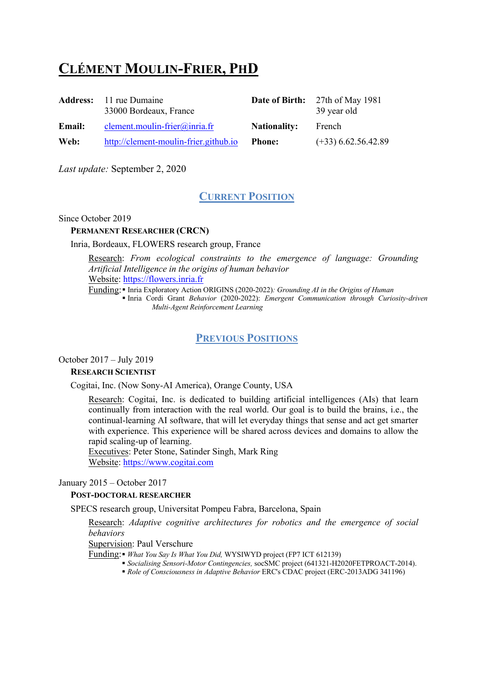# **CLÉMENT MOULIN-FRIER, PHD**

| <b>Address:</b> | 11 rue Dumaine<br>33000 Bordeaux, France | Date of Birth:      | 27th of May 1981<br>39 year old |
|-----------------|------------------------------------------|---------------------|---------------------------------|
| <b>Email:</b>   | clement.moulin-frier@inria.fr            | <b>Nationality:</b> | French                          |
| Web:            | http://clement-moulin-frier.github.io    | <b>Phone:</b>       | $(+33)$ 6.62.56.42.89           |

*Last update:* September 2, 2020

# **CURRENT POSITION**

#### Since October 2019

## **PERMANENT RESEARCHER (CRCN)**

Inria, Bordeaux, FLOWERS research group, France

Research: *From ecological constraints to the emergence of language: Grounding Artificial Intelligence in the origins of human behavior* Website: https://flowers.inria.fr

Funding: § Inria Exploratory Action ORIGINS (2020-2022)*: Grounding AI in the Origins of Human*  § Inria Cordi Grant *Behavior* (2020-2022): *Emergent Communication through Curiosity-driven Multi-Agent Reinforcement Learning*

# **PREVIOUS POSITIONS**

October 2017 – July 2019

#### **RESEARCH SCIENTIST**

Cogitai, Inc. (Now Sony-AI America), Orange County, USA

Research: Cogitai, Inc. is dedicated to building artificial intelligences (AIs) that learn continually from interaction with the real world. Our goal is to build the brains, i.e., the continual-learning AI software, that will let everyday things that sense and act get smarter with experience. This experience will be shared across devices and domains to allow the rapid scaling-up of learning.

Executives: Peter Stone, Satinder Singh, Mark Ring Website: https://www.cogitai.com

#### January 2015 – October 2017

#### **POST-DOCTORAL RESEARCHER**

SPECS research group, Universitat Pompeu Fabra, Barcelona, Spain

Research: *Adaptive cognitive architectures for robotics and the emergence of social behaviors*

#### Supervision: Paul Verschure

Funding:§ *What You Say Is What You Did,* WYSIWYD project (FP7 ICT 612139)

- § *Socialising Sensori-Motor Contingencies,* socSMC project (641321-H2020FETPROACT-2014).
- § *Role of Consciousness in Adaptive Behavior* ERC's CDAC project (ERC-2013ADG 341196)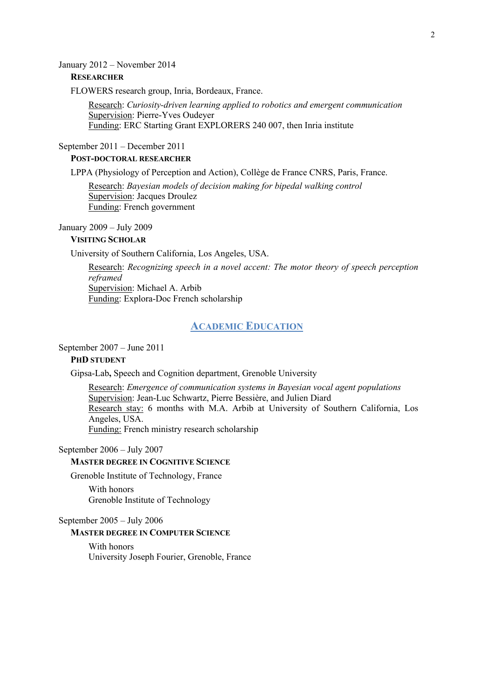#### January 2012 – November 2014

# **RESEARCHER**

FLOWERS research group, Inria, Bordeaux, France.

Research: *Curiosity-driven learning applied to robotics and emergent communication* Supervision: Pierre-Yves Oudeyer Funding: ERC Starting Grant EXPLORERS 240 007, then Inria institute

#### September 2011 – December 2011

# **POST-DOCTORAL RESEARCHER**

LPPA (Physiology of Perception and Action), Collège de France CNRS, Paris, France.

Research: *Bayesian models of decision making for bipedal walking control* Supervision: Jacques Droulez Funding: French government

#### January 2009 – July 2009

#### **VISITING SCHOLAR**

University of Southern California, Los Angeles, USA.

Research: *Recognizing speech in a novel accent: The motor theory of speech perception reframed* Supervision: Michael A. Arbib Funding: Explora-Doc French scholarship

# **ACADEMIC EDUCATION**

#### September 2007 – June 2011

## **PHD STUDENT**

Gipsa-Lab**,** Speech and Cognition department, Grenoble University

Research: *Emergence of communication systems in Bayesian vocal agent populations* Supervision: Jean-Luc Schwartz, Pierre Bessière, and Julien Diard Research stay: 6 months with M.A. Arbib at University of Southern California, Los Angeles, USA.

Funding: French ministry research scholarship

September 2006 – July 2007

# **MASTER DEGREE IN COGNITIVE SCIENCE**

Grenoble Institute of Technology, France

With honors Grenoble Institute of Technology

#### September 2005 – July 2006

## **MASTER DEGREE IN COMPUTER SCIENCE**

With honors University Joseph Fourier, Grenoble, France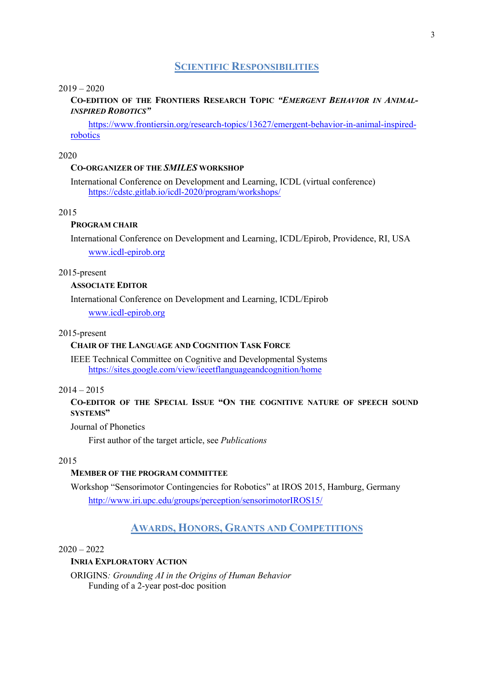# **SCIENTIFIC RESPONSIBILITIES**

## $2019 - 2020$

**CO-EDITION OF THE FRONTIERS RESEARCH TOPIC** *"EMERGENT BEHAVIOR IN ANIMAL-INSPIRED ROBOTICS"*

https://www.frontiersin.org/research-topics/13627/emergent-behavior-in-animal-inspiredrobotics

## 2020

#### **CO-ORGANIZER OF THE** *SMILES* **WORKSHOP**

International Conference on Development and Learning, ICDL (virtual conference) https://cdstc.gitlab.io/icdl-2020/program/workshops/

#### 2015

# **PROGRAM CHAIR**

International Conference on Development and Learning, ICDL/Epirob, Providence, RI, USA www.icdl-epirob.org

#### 2015-present

#### **ASSOCIATE EDITOR**

International Conference on Development and Learning, ICDL/Epirob

www.icdl-epirob.org

## 2015-present

# **CHAIR OF THE LANGUAGE AND COGNITION TASK FORCE**

IEEE Technical Committee on Cognitive and Developmental Systems https://sites.google.com/view/ieeetflanguageandcognition/home

## $2014 - 2015$

# **CO-EDITOR OF THE SPECIAL ISSUE "ON THE COGNITIVE NATURE OF SPEECH SOUND SYSTEMS"**

Journal of Phonetics

First author of the target article, see *Publications*

## 2015

#### **MEMBER OF THE PROGRAM COMMITTEE**

Workshop "Sensorimotor Contingencies for Robotics" at IROS 2015, Hamburg, Germany http://www.iri.upc.edu/groups/perception/sensorimotorIROS15/

# **AWARDS, HONORS, GRANTS AND COMPETITIONS**

#### $2020 - 2022$

## **INRIA EXPLORATORY ACTION**

ORIGINS*: Grounding AI in the Origins of Human Behavior* Funding of a 2-year post-doc position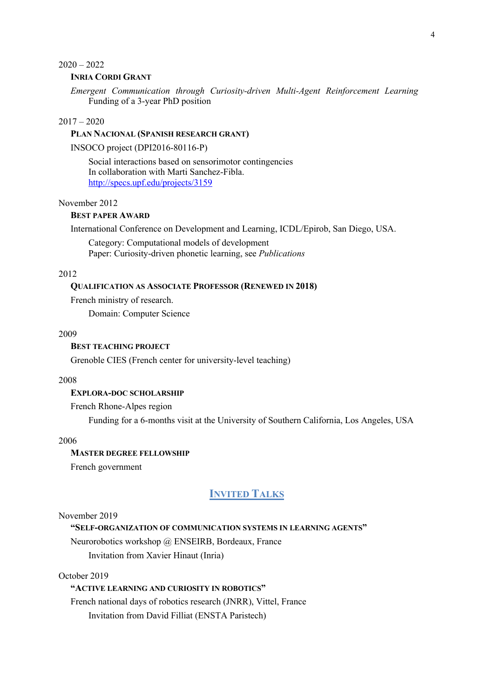#### $2020 - 2022$

## **INRIA CORDI GRANT**

*Emergent Communication through Curiosity-driven Multi-Agent Reinforcement Learning* Funding of a 3-year PhD position

## $2017 - 2020$

#### **PLAN NACIONAL (SPANISH RESEARCH GRANT)**

INSOCO project (DPI2016-80116-P)

Social interactions based on sensorimotor contingencies In collaboration with Marti Sanchez-Fibla. http://specs.upf.edu/projects/3159

#### November 2012

# **BEST PAPER AWARD**

International Conference on Development and Learning, ICDL/Epirob, San Diego, USA.

Category: Computational models of development Paper: Curiosity-driven phonetic learning, see *Publications*

## 2012

## **QUALIFICATION AS ASSOCIATE PROFESSOR (RENEWED IN 2018)**

French ministry of research.

Domain: Computer Science

## 2009

## **BEST TEACHING PROJECT**

Grenoble CIES (French center for university-level teaching)

#### 2008

#### **EXPLORA-DOC SCHOLARSHIP**

French Rhone-Alpes region

Funding for a 6-months visit at the University of Southern California, Los Angeles, USA

## 2006

# **MASTER DEGREE FELLOWSHIP**

French government

# **INVITED TALKS**

## November 2019

#### **"SELF-ORGANIZATION OF COMMUNICATION SYSTEMS IN LEARNING AGENTS"**

Neurorobotics workshop @ ENSEIRB, Bordeaux, France

Invitation from Xavier Hinaut (Inria)

## October 2019

## **"ACTIVE LEARNING AND CURIOSITY IN ROBOTICS"**

French national days of robotics research (JNRR), Vittel, France

Invitation from David Filliat (ENSTA Paristech)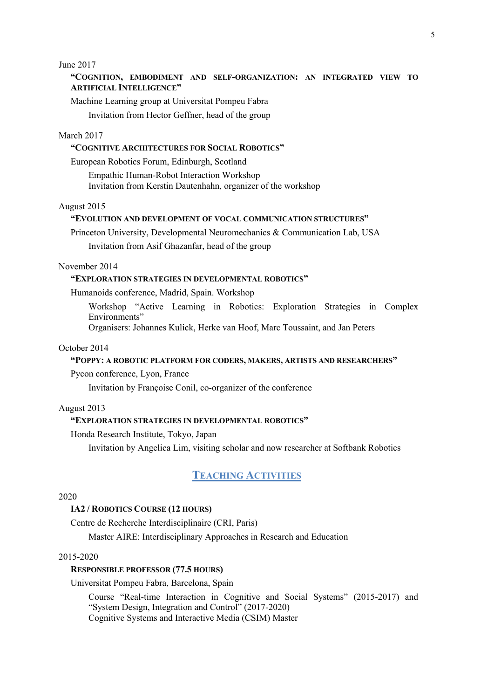June 2017

## **"COGNITION, EMBODIMENT AND SELF-ORGANIZATION: AN INTEGRATED VIEW TO ARTIFICIAL INTELLIGENCE"**

Machine Learning group at Universitat Pompeu Fabra

Invitation from Hector Geffner, head of the group

# March 2017

#### **"COGNITIVE ARCHITECTURES FOR SOCIAL ROBOTICS"**

European Robotics Forum, Edinburgh, Scotland

Empathic Human-Robot Interaction Workshop Invitation from Kerstin Dautenhahn, organizer of the workshop

#### August 2015

#### **"EVOLUTION AND DEVELOPMENT OF VOCAL COMMUNICATION STRUCTURES"**

Princeton University, Developmental Neuromechanics & Communication Lab, USA Invitation from Asif Ghazanfar, head of the group

# November 2014

## **"EXPLORATION STRATEGIES IN DEVELOPMENTAL ROBOTICS"**

Humanoids conference, Madrid, Spain. Workshop

Workshop "Active Learning in Robotics: Exploration Strategies in Complex Environments"

Organisers: Johannes Kulick, Herke van Hoof, Marc Toussaint, and Jan Peters

### October 2014

# **"POPPY: A ROBOTIC PLATFORM FOR CODERS, MAKERS, ARTISTS AND RESEARCHERS"**

Pycon conference, Lyon, France

Invitation by Françoise Conil, co-organizer of the conference

#### August 2013

#### **"EXPLORATION STRATEGIES IN DEVELOPMENTAL ROBOTICS"**

## Honda Research Institute, Tokyo, Japan

Invitation by Angelica Lim, visiting scholar and now researcher at Softbank Robotics

# **TEACHING ACTIVITIES**

#### 2020

## **IA2 / ROBOTICS COURSE (12 HOURS)**

Centre de Recherche Interdisciplinaire (CRI, Paris)

Master AIRE: Interdisciplinary Approaches in Research and Education

#### 2015-2020

## **RESPONSIBLE PROFESSOR (77.5 HOURS)**

Universitat Pompeu Fabra, Barcelona, Spain

Course "Real-time Interaction in Cognitive and Social Systems" (2015-2017) and "System Design, Integration and Control" (2017-2020) Cognitive Systems and Interactive Media (CSIM) Master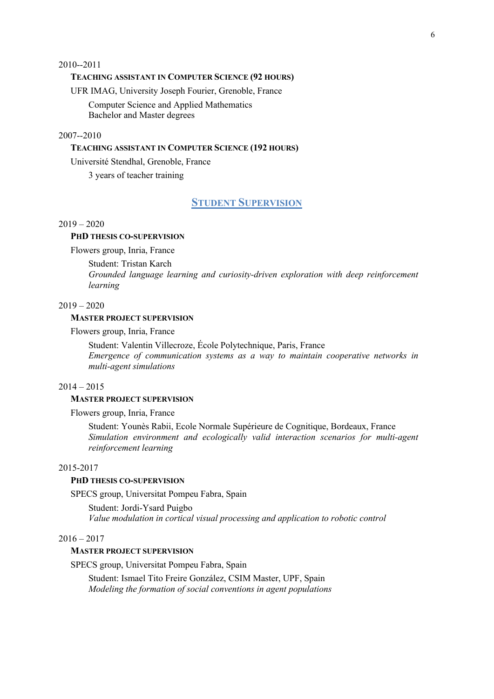2010--2011

## **TEACHING ASSISTANT IN COMPUTER SCIENCE (92 HOURS)**

UFR IMAG, University Joseph Fourier, Grenoble, France

Computer Science and Applied Mathematics Bachelor and Master degrees

## 2007--2010

## **TEACHING ASSISTANT IN COMPUTER SCIENCE (192 HOURS)**

Université Stendhal, Grenoble, France

3 years of teacher training

# **STUDENT SUPERVISION**

## $2019 - 2020$

## **PHD THESIS CO-SUPERVISION**

Flowers group, Inria, France

Student: Tristan Karch *Grounded language learning and curiosity-driven exploration with deep reinforcement learning*

## $2019 - 2020$

## **MASTER PROJECT SUPERVISION**

Flowers group, Inria, France

Student: Valentin Villecroze, École Polytechnique, Paris, France *Emergence of communication systems as a way to maintain cooperative networks in multi-agent simulations*

#### $2014 - 2015$

## **MASTER PROJECT SUPERVISION**

Flowers group, Inria, France

Student: Younès Rabii, Ecole Normale Supérieure de Cognitique, Bordeaux, France *Simulation environment and ecologically valid interaction scenarios for multi-agent reinforcement learning*

## 2015-2017

## **PHD THESIS CO-SUPERVISION**

SPECS group, Universitat Pompeu Fabra, Spain

Student: Jordi-Ysard Puigbo *Value modulation in cortical visual processing and application to robotic control*

#### $2016 - 2017$

## **MASTER PROJECT SUPERVISION**

SPECS group, Universitat Pompeu Fabra, Spain

Student: Ismael Tito Freire González, CSIM Master, UPF, Spain *Modeling the formation of social conventions in agent populations*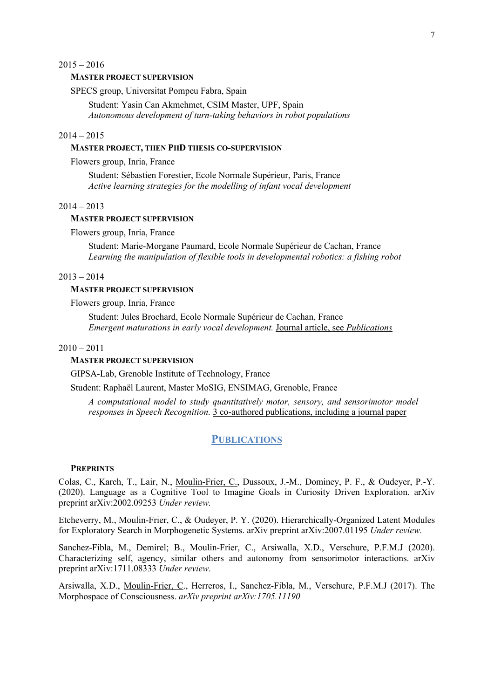### $2015 - 2016$

# **MASTER PROJECT SUPERVISION**

SPECS group, Universitat Pompeu Fabra, Spain

Student: Yasin Can Akmehmet, CSIM Master, UPF, Spain *Autonomous development of turn-taking behaviors in robot populations*

## $2014 - 2015$

#### **MASTER PROJECT, THEN PHD THESIS CO-SUPERVISION**

Flowers group, Inria, France

Student: Sébastien Forestier, Ecole Normale Supérieur, Paris, France *Active learning strategies for the modelling of infant vocal development*

## $2014 - 2013$

## **MASTER PROJECT SUPERVISION**

Flowers group, Inria, France

Student: Marie-Morgane Paumard, Ecole Normale Supérieur de Cachan, France *Learning the manipulation of flexible tools in developmental robotics: a fishing robot*

## $2013 - 2014$

# **MASTER PROJECT SUPERVISION**

Flowers group, Inria, France

Student: Jules Brochard, Ecole Normale Supérieur de Cachan, France *Emergent maturations in early vocal development.* Journal article, see *Publications*

#### $2010 - 2011$

# **MASTER PROJECT SUPERVISION**

GIPSA-Lab, Grenoble Institute of Technology, France

Student: Raphaël Laurent, Master MoSIG, ENSIMAG, Grenoble, France

*A computational model to study quantitatively motor, sensory, and sensorimotor model responses in Speech Recognition.* 3 co-authored publications, including a journal paper

## **PUBLICATIONS**

#### **PREPRINTS**

Colas, C., Karch, T., Lair, N., Moulin-Frier, C., Dussoux, J.-M., Dominey, P. F., & Oudeyer, P.-Y. (2020). Language as a Cognitive Tool to Imagine Goals in Curiosity Driven Exploration. arXiv preprint arXiv:2002.09253 *Under review.*

Etcheverry, M., Moulin-Frier, C., & Oudeyer, P. Y. (2020). Hierarchically-Organized Latent Modules for Exploratory Search in Morphogenetic Systems. arXiv preprint arXiv:2007.01195 *Under review.*

Sanchez-Fibla, M., Demirel; B., Moulin-Frier, C., Arsiwalla, X.D., Verschure, P.F.M.J (2020). Characterizing self, agency, similar others and autonomy from sensorimotor interactions. arXiv preprint arXiv:1711.08333 *Under review*.

Arsiwalla, X.D., Moulin-Frier, C., Herreros, I., Sanchez-Fibla, M., Verschure, P.F.M.J (2017). The Morphospace of Consciousness. *arXiv preprint arXiv:1705.11190*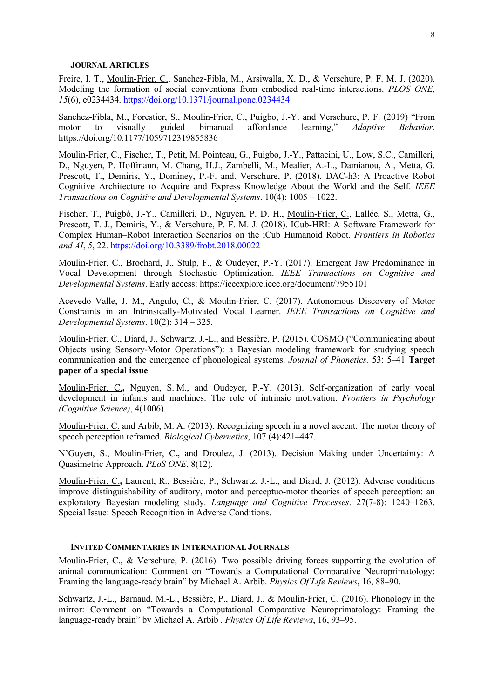#### **JOURNAL ARTICLES**

Freire, I. T., Moulin-Frier, C., Sanchez-Fibla, M., Arsiwalla, X. D., & Verschure, P. F. M. J. (2020). Modeling the formation of social conventions from embodied real-time interactions. *PLOS ONE*, *15*(6), e0234434. https://doi.org/10.1371/journal.pone.0234434

Sanchez-Fibla, M., Forestier, S., Moulin-Frier, C., Puigbo, J.-Y. and Verschure, P. F. (2019) "From motor to visually guided bimanual affordance learning," *Adaptive Behavior*. https://doi.org/10.1177/1059712319855836

Moulin-Frier, C., Fischer, T., Petit, M. Pointeau, G., Puigbo, J.-Y., Pattacini, U., Low, S.C., Camilleri, D., Nguyen, P. Hoffmann, M. Chang, H.J., Zambelli, M., Mealier, A.-L., Damianou, A., Metta, G. Prescott, T., Demiris, Y., Dominey, P.-F. and. Verschure, P. (2018). DAC-h3: A Proactive Robot Cognitive Architecture to Acquire and Express Knowledge About the World and the Self. *IEEE Transactions on Cognitive and Developmental Systems*. 10(4): 1005 – 1022.

Fischer, T., Puigbò, J.-Y., Camilleri, D., Nguyen, P. D. H., Moulin-Frier, C., Lallée, S., Metta, G., Prescott, T. J., Demiris, Y., & Verschure, P. F. M. J. (2018). ICub-HRI: A Software Framework for Complex Human–Robot Interaction Scenarios on the iCub Humanoid Robot. *Frontiers in Robotics and AI*, *5*, 22. https://doi.org/10.3389/frobt.2018.00022

Moulin-Frier, C., Brochard, J., Stulp, F., & Oudeyer, P.-Y. (2017). Emergent Jaw Predominance in Vocal Development through Stochastic Optimization. *IEEE Transactions on Cognitive and Developmental Systems*. Early access: https://ieeexplore.ieee.org/document/7955101

Acevedo Valle, J. M., Angulo, C., & Moulin-Frier, C. (2017). Autonomous Discovery of Motor Constraints in an Intrinsically-Motivated Vocal Learner. *IEEE Transactions on Cognitive and Developmental Systems*. 10(2): 314 – 325.

Moulin-Frier, C., Diard, J., Schwartz, J.-L., and Bessière, P. (2015). COSMO ("Communicating about Objects using Sensory-Motor Operations"): a Bayesian modeling framework for studying speech communication and the emergence of phonological systems. *Journal of Phonetics.* 53: 5–41 **Target paper of a special issue**.

Moulin-Frier, C.**,** Nguyen, S. M., and Oudeyer, P.-Y. (2013). Self-organization of early vocal development in infants and machines: The role of intrinsic motivation. *Frontiers in Psychology (Cognitive Science)*, 4(1006).

Moulin-Frier, C. and Arbib, M. A. (2013). Recognizing speech in a novel accent: The motor theory of speech perception reframed. *Biological Cybernetics*, 107 (4):421–447.

N'Guyen, S., Moulin-Frier, C**.,** and Droulez, J. (2013). Decision Making under Uncertainty: A Quasimetric Approach. *PLoS ONE*, 8(12).

Moulin-Frier, C.**,** Laurent, R., Bessière, P., Schwartz, J.-L., and Diard, J. (2012). Adverse conditions improve distinguishability of auditory, motor and perceptuo-motor theories of speech perception: an exploratory Bayesian modeling study. *Language and Cognitive Processes*. 27(7-8): 1240–1263. Special Issue: Speech Recognition in Adverse Conditions.

#### **INVITED COMMENTARIES IN INTERNATIONAL JOURNALS**

Moulin-Frier, C., & Verschure, P. (2016). Two possible driving forces supporting the evolution of animal communication: Comment on "Towards a Computational Comparative Neuroprimatology: Framing the language-ready brain" by Michael A. Arbib. *Physics Of Life Reviews*, 16, 88–90.

Schwartz, J.-L., Barnaud, M.-L., Bessière, P., Diard, J., & Moulin-Frier, C. (2016). Phonology in the mirror: Comment on "Towards a Computational Comparative Neuroprimatology: Framing the language-ready brain" by Michael A. Arbib . *Physics Of Life Reviews*, 16, 93–95.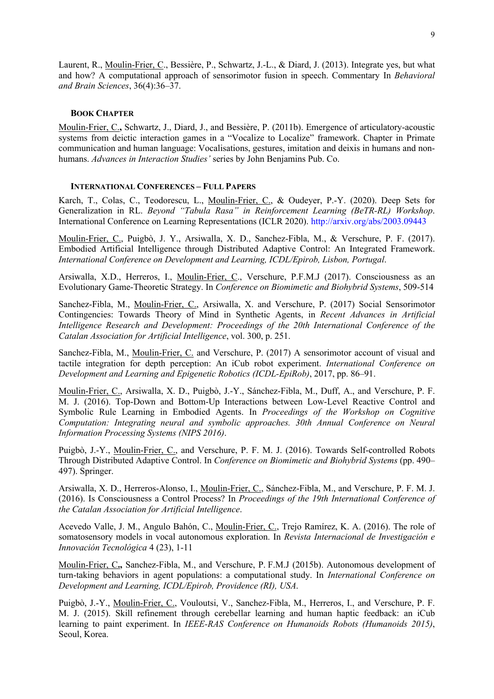Laurent, R., Moulin-Frier, C., Bessière, P., Schwartz, J.-L., & Diard, J. (2013). Integrate yes, but what and how? A computational approach of sensorimotor fusion in speech. Commentary In *Behavioral and Brain Sciences*, 36(4):36–37.

#### **BOOK CHAPTER**

Moulin-Frier, C.**,** Schwartz, J., Diard, J., and Bessière, P. (2011b). Emergence of articulatory-acoustic systems from deictic interaction games in a "Vocalize to Localize" framework. Chapter in Primate communication and human language: Vocalisations, gestures, imitation and deixis in humans and nonhumans. *Advances in Interaction Studies'* series by John Benjamins Pub. Co.

## **INTERNATIONAL CONFERENCES – FULL PAPERS**

Karch, T., Colas, C., Teodorescu, L., Moulin-Frier, C., & Oudeyer, P.-Y. (2020). Deep Sets for Generalization in RL. *Beyond "Tabula Rasa" in Reinforcement Learning (BeTR-RL) Workshop*. International Conference on Learning Representations (ICLR 2020). http://arxiv.org/abs/2003.09443

Moulin-Frier, C., Puigbò, J. Y., Arsiwalla, X. D., Sanchez-Fibla, M., & Verschure, P. F. (2017). Embodied Artificial Intelligence through Distributed Adaptive Control: An Integrated Framework. *International Conference on Development and Learning, ICDL/Epirob, Lisbon, Portugal*.

Arsiwalla, X.D., Herreros, I., Moulin-Frier, C., Verschure, P.F.M.J (2017). Consciousness as an Evolutionary Game-Theoretic Strategy. In *Conference on Biomimetic and Biohybrid Systems*, 509-514

Sanchez-Fibla, M., Moulin-Frier, C., Arsiwalla, X. and Verschure, P. (2017) Social Sensorimotor Contingencies: Towards Theory of Mind in Synthetic Agents, in *Recent Advances in Artificial Intelligence Research and Development: Proceedings of the 20th International Conference of the Catalan Association for Artificial Intelligence*, vol. 300, p. 251.

Sanchez-Fibla, M., Moulin-Frier, C. and Verschure, P. (2017) A sensorimotor account of visual and tactile integration for depth perception: An iCub robot experiment. *International Conference on Development and Learning and Epigenetic Robotics (ICDL-EpiRob)*, 2017, pp. 86–91.

Moulin-Frier, C., Arsiwalla, X. D., Puigbò, J.-Y., Sánchez-Fibla, M., Duff, A., and Verschure, P. F. M. J. (2016). Top-Down and Bottom-Up Interactions between Low-Level Reactive Control and Symbolic Rule Learning in Embodied Agents. In *Proceedings of the Workshop on Cognitive Computation: Integrating neural and symbolic approaches. 30th Annual Conference on Neural Information Processing Systems (NIPS 2016)*.

Puigbò, J.-Y., Moulin-Frier, C., and Verschure, P. F. M. J. (2016). Towards Self-controlled Robots Through Distributed Adaptive Control. In *Conference on Biomimetic and Biohybrid Systems* (pp. 490– 497). Springer.

Arsiwalla, X. D., Herreros-Alonso, I., Moulin-Frier, C., Sánchez-Fibla, M., and Verschure, P. F. M. J. (2016). Is Consciousness a Control Process? In *Proceedings of the 19th International Conference of the Catalan Association for Artificial Intelligence*.

Acevedo Valle, J. M., Angulo Bahón, C., Moulin-Frier, C., Trejo Ramírez, K. A. (2016). The role of somatosensory models in vocal autonomous exploration. In *Revista Internacional de Investigación e Innovación Tecnológica* 4 (23), 1-11

Moulin-Frier, C**.,** Sanchez-Fibla, M., and Verschure, P. F.M.J (2015b). Autonomous development of turn-taking behaviors in agent populations: a computational study. In *International Conference on Development and Learning, ICDL/Epirob, Providence (RI), USA*.

Puigbò, J.-Y., Moulin-Frier, C., Vouloutsi, V., Sanchez-Fibla, M., Herreros, I., and Verschure, P. F. M. J. (2015). Skill refinement through cerebellar learning and human haptic feedback: an iCub learning to paint experiment. In *IEEE-RAS Conference on Humanoids Robots (Humanoids 2015)*, Seoul, Korea.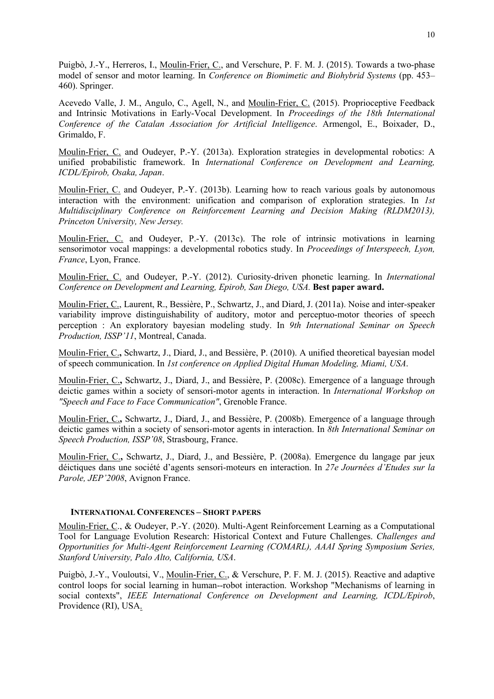Puigbò, J.-Y., Herreros, I., Moulin-Frier, C., and Verschure, P. F. M. J. (2015). Towards a two-phase model of sensor and motor learning. In *Conference on Biomimetic and Biohybrid Systems* (pp. 453– 460). Springer.

Acevedo Valle, J. M., Angulo, C., Agell, N., and Moulin-Frier, C. (2015). Proprioceptive Feedback and Intrinsic Motivations in Early-Vocal Development. In *Proceedings of the 18th International Conference of the Catalan Association for Artificial Intelligence*. Armengol, E., Boixader, D., Grimaldo, F.

Moulin-Frier, C. and Oudeyer, P.-Y. (2013a). Exploration strategies in developmental robotics: A unified probabilistic framework. In *International Conference on Development and Learning, ICDL/Epirob, Osaka, Japan*.

Moulin-Frier, C. and Oudeyer, P.-Y. (2013b). Learning how to reach various goals by autonomous interaction with the environment: unification and comparison of exploration strategies. In *1st Multidisciplinary Conference on Reinforcement Learning and Decision Making (RLDM2013), Princeton University, New Jersey.*

Moulin-Frier, C. and Oudeyer, P.-Y. (2013c). The role of intrinsic motivations in learning sensorimotor vocal mappings: a developmental robotics study. In *Proceedings of Interspeech, Lyon, France*, Lyon, France.

Moulin-Frier, C. and Oudeyer, P.-Y. (2012). Curiosity-driven phonetic learning. In *International Conference on Development and Learning, Epirob, San Diego, USA.* Best paper award.

Moulin-Frier, C., Laurent, R., Bessière, P., Schwartz, J., and Diard, J. (2011a). Noise and inter-speaker variability improve distinguishability of auditory, motor and perceptuo-motor theories of speech perception : An exploratory bayesian modeling study. In *9th International Seminar on Speech Production, ISSP'11*, Montreal, Canada.

Moulin-Frier, C.**,** Schwartz, J., Diard, J., and Bessière, P. (2010). A unified theoretical bayesian model of speech communication. In *1st conference on Applied Digital Human Modeling, Miami, USA*.

Moulin-Frier, C.**,** Schwartz, J., Diard, J., and Bessière, P. (2008c). Emergence of a language through deictic games within a society of sensori-motor agents in interaction. In *International Workshop on "Speech and Face to Face Communication"*, Grenoble France.

Moulin-Frier, C.**,** Schwartz, J., Diard, J., and Bessière, P. (2008b). Emergence of a language through deictic games within a society of sensori-motor agents in interaction. In *8th International Seminar on Speech Production, ISSP'08*, Strasbourg, France.

Moulin-Frier, C.**,** Schwartz, J., Diard, J., and Bessière, P. (2008a). Emergence du langage par jeux déictiques dans une société d'agents sensori-moteurs en interaction. In *27e Journées d'Etudes sur la Parole, JEP'2008*, Avignon France.

#### **INTERNATIONAL CONFERENCES – SHORT PAPERS**

Moulin-Frier, C., & Oudeyer, P.-Y. (2020). Multi-Agent Reinforcement Learning as a Computational Tool for Language Evolution Research: Historical Context and Future Challenges. *Challenges and Opportunities for Multi-Agent Reinforcement Learning (COMARL), AAAI Spring Symposium Series, Stanford University, Palo Alto, California, USA*.

Puigbò, J.-Y., Vouloutsi, V., Moulin-Frier, C., & Verschure, P. F. M. J. (2015). Reactive and adaptive control loops for social learning in human--robot interaction. Workshop "Mechanisms of learning in social contexts", *IEEE International Conference on Development and Learning, ICDL/Epirob*, Providence (RI), USA.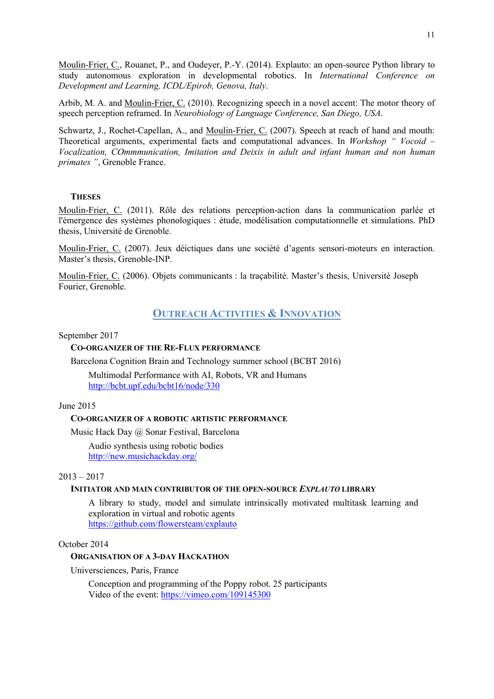Moulin-Frier, C., Rouanet, P., and Oudeyer, P.-Y. (2014). Explauto: an open-source Python library to study autonomous exploration in developmental robotics. In *International Conference on Development and Learning, ICDL/Epirob, Genova, Italy*.

Arbib, M. A. and Moulin-Frier, C. (2010). Recognizing speech in a novel accent: The motor theory of speech perception reframed. In *Neurobiology of Language Conference, San Diego, USA*.

Schwartz, J., Rochet-Capellan, A., and Moulin-Frier, C. (2007). Speech at reach of hand and mouth: Theoretical arguments, experimental facts and computational advances. In *Workshop " Vocoid – Vocalization, COmmmunication, Imitation and Deixis in adult and infant human and non human primates "*, Grenoble France.

## **THESES**

Moulin-Frier, C. (2011). Rôle des relations perception-action dans la communication parlée et l'émergence des systèmes phonologiques : étude, modélisation computationnelle et simulations. PhD thesis, Université de Grenoble.

Moulin-Frier, C. (2007). Jeux déictiques dans une société d'agents sensori-moteurs en interaction. Master's thesis, Grenoble-INP.

Moulin-Frier, C. (2006). Objets communicants : la traçabilité. Master's thesis, Université Joseph Fourier, Grenoble.

# **OUTREACH ACTIVITIES & INNOVATION**

#### September 2017

#### **CO-ORGANIZER OF THE RE-FLUX PERFORMANCE**

Barcelona Cognition Brain and Technology summer school (BCBT 2016)

Multimodal Performance with AI, Robots, VR and Humans http://bcbt.upf.edu/bcbt16/node/330

## June 2015

#### **CO-ORGANIZER OF A ROBOTIC ARTISTIC PERFORMANCE**

Music Hack Day @ Sonar Festival, Barcelona

Audio synthesis using robotic bodies http://new.musichackday.org/

#### $2013 - 2017$

#### **INITIATOR AND MAIN CONTRIBUTOR OF THE OPEN-SOURCE** *EXPLAUTO* **LIBRARY**

A library to study, model and simulate intrinsically motivated multitask learning and exploration in virtual and robotic agents https://github.com/flowersteam/explauto

## October 2014

# **ORGANISATION OF A 3-DAY HACKATHON**

Universciences, Paris, France

Conception and programming of the Poppy robot. 25 participants Video of the event: https://vimeo.com/109145300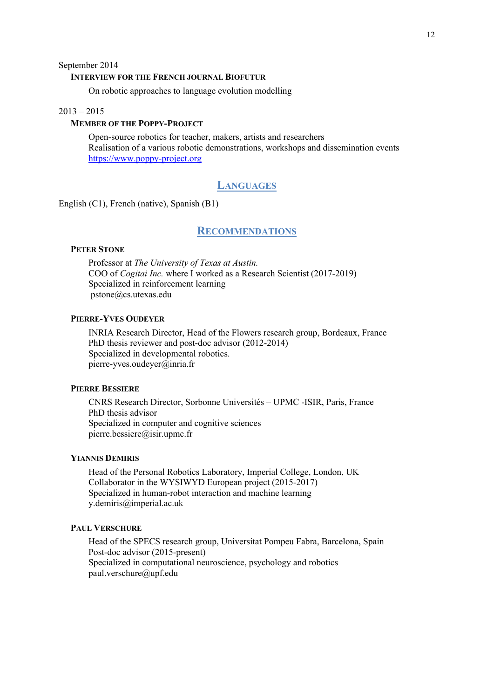## September 2014

## **INTERVIEW FOR THE FRENCH JOURNAL BIOFUTUR**

On robotic approaches to language evolution modelling

#### $2013 - 2015$

# **MEMBER OF THE POPPY-PROJECT**

Open-source robotics for teacher, makers, artists and researchers Realisation of a various robotic demonstrations, workshops and dissemination events https://www.poppy-project.org

# **LANGUAGES**

English (C1), French (native), Spanish (B1)

# **RECOMMENDATIONS**

#### **PETER STONE**

Professor at *The University of Texas at Austin.*  COO of *Cogitai Inc.* where I worked as a Research Scientist (2017-2019) Specialized in reinforcement learning pstone@cs.utexas.edu

#### **PIERRE-YVES OUDEYER**

INRIA Research Director, Head of the Flowers research group, Bordeaux, France PhD thesis reviewer and post-doc advisor (2012-2014) Specialized in developmental robotics. pierre-yves.oudeyer@inria.fr

#### **PIERRE BESSIERE**

CNRS Research Director, Sorbonne Universités – UPMC -ISIR, Paris, France PhD thesis advisor Specialized in computer and cognitive sciences pierre.bessiere@isir.upmc.fr

# **YIANNIS DEMIRIS**

Head of the Personal Robotics Laboratory, Imperial College, London, UK Collaborator in the WYSIWYD European project (2015-2017) Specialized in human-robot interaction and machine learning y.demiris@imperial.ac.uk

## **PAUL VERSCHURE**

Head of the SPECS research group, Universitat Pompeu Fabra, Barcelona, Spain Post-doc advisor (2015-present) Specialized in computational neuroscience, psychology and robotics paul.verschure@upf.edu